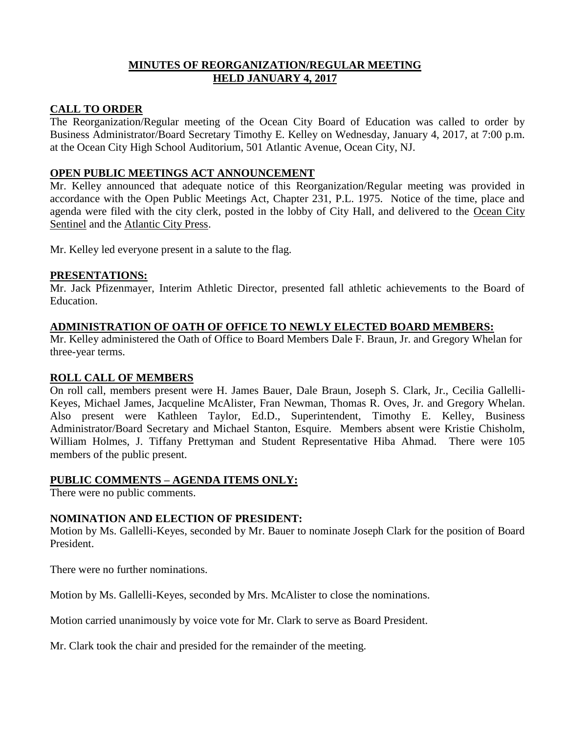# **MINUTES OF REORGANIZATION/REGULAR MEETING HELD JANUARY 4, 2017**

## **CALL TO ORDER**

The Reorganization/Regular meeting of the Ocean City Board of Education was called to order by Business Administrator/Board Secretary Timothy E. Kelley on Wednesday, January 4, 2017, at 7:00 p.m. at the Ocean City High School Auditorium, 501 Atlantic Avenue, Ocean City, NJ.

## **OPEN PUBLIC MEETINGS ACT ANNOUNCEMENT**

Mr. Kelley announced that adequate notice of this Reorganization/Regular meeting was provided in accordance with the Open Public Meetings Act, Chapter 231, P.L. 1975. Notice of the time, place and agenda were filed with the city clerk, posted in the lobby of City Hall, and delivered to the Ocean City Sentinel and the Atlantic City Press.

Mr. Kelley led everyone present in a salute to the flag.

## **PRESENTATIONS:**

Mr. Jack Pfizenmayer, Interim Athletic Director, presented fall athletic achievements to the Board of Education.

# **ADMINISTRATION OF OATH OF OFFICE TO NEWLY ELECTED BOARD MEMBERS:**

Mr. Kelley administered the Oath of Office to Board Members Dale F. Braun, Jr. and Gregory Whelan for three-year terms.

# **ROLL CALL OF MEMBERS**

On roll call, members present were H. James Bauer, Dale Braun, Joseph S. Clark, Jr., Cecilia Gallelli-Keyes, Michael James, Jacqueline McAlister, Fran Newman, Thomas R. Oves, Jr. and Gregory Whelan. Also present were Kathleen Taylor, Ed.D., Superintendent, Timothy E. Kelley, Business Administrator/Board Secretary and Michael Stanton, Esquire. Members absent were Kristie Chisholm, William Holmes, J. Tiffany Prettyman and Student Representative Hiba Ahmad. There were 105 members of the public present.

# **PUBLIC COMMENTS – AGENDA ITEMS ONLY:**

There were no public comments.

# **NOMINATION AND ELECTION OF PRESIDENT:**

Motion by Ms. Gallelli-Keyes, seconded by Mr. Bauer to nominate Joseph Clark for the position of Board President.

There were no further nominations.

Motion by Ms. Gallelli-Keyes, seconded by Mrs. McAlister to close the nominations.

Motion carried unanimously by voice vote for Mr. Clark to serve as Board President.

Mr. Clark took the chair and presided for the remainder of the meeting.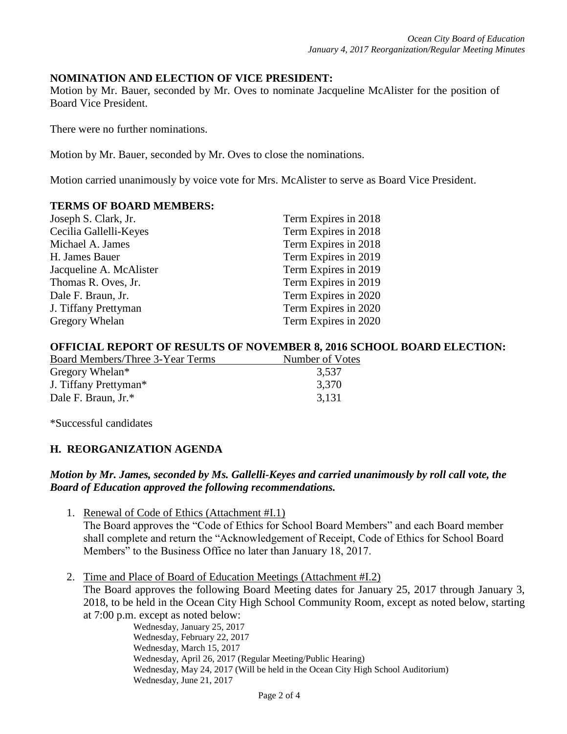### **NOMINATION AND ELECTION OF VICE PRESIDENT:**

Motion by Mr. Bauer, seconded by Mr. Oves to nominate Jacqueline McAlister for the position of Board Vice President.

There were no further nominations.

Motion by Mr. Bauer, seconded by Mr. Oves to close the nominations.

Motion carried unanimously by voice vote for Mrs. McAlister to serve as Board Vice President.

### **TERMS OF BOARD MEMBERS:**

| Joseph S. Clark, Jr.    | Term Expires in 2018 |
|-------------------------|----------------------|
| Cecilia Gallelli-Keyes  | Term Expires in 2018 |
| Michael A. James        | Term Expires in 2018 |
| H. James Bauer          | Term Expires in 2019 |
| Jacqueline A. McAlister | Term Expires in 2019 |
| Thomas R. Oves, Jr.     | Term Expires in 2019 |
| Dale F. Braun, Jr.      | Term Expires in 2020 |
| J. Tiffany Prettyman    | Term Expires in 2020 |
| Gregory Whelan          | Term Expires in 2020 |

### **OFFICIAL REPORT OF RESULTS OF NOVEMBER 8, 2016 SCHOOL BOARD ELECTION:**

| Number of Votes |
|-----------------|
| 3,537           |
| 3,370           |
| 3,131           |
|                 |

\*Successful candidates

# **H. REORGANIZATION AGENDA**

## *Motion by Mr. James, seconded by Ms. Gallelli-Keyes and carried unanimously by roll call vote, the Board of Education approved the following recommendations.*

- 1. Renewal of Code of Ethics (Attachment #I.1) The Board approves the "Code of Ethics for School Board Members" and each Board member shall complete and return the "Acknowledgement of Receipt, Code of Ethics for School Board Members" to the Business Office no later than January 18, 2017.
- 2. Time and Place of Board of Education Meetings (Attachment #I.2) The Board approves the following Board Meeting dates for January 25, 2017 through January 3, 2018, to be held in the Ocean City High School Community Room, except as noted below, starting at 7:00 p.m. except as noted below:

Wednesday, January 25, 2017 Wednesday, February 22, 2017 Wednesday, March 15, 2017 Wednesday, April 26, 2017 (Regular Meeting/Public Hearing) Wednesday, May 24, 2017 (Will be held in the Ocean City High School Auditorium) Wednesday, June 21, 2017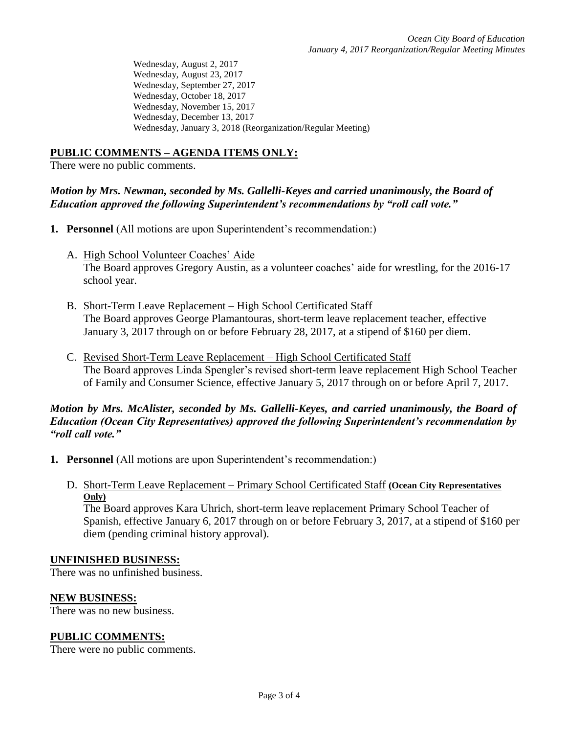Wednesday, August 2, 2017 Wednesday, August 23, 2017 Wednesday, September 27, 2017 Wednesday, October 18, 2017 Wednesday, November 15, 2017 Wednesday, December 13, 2017 Wednesday, January 3, 2018 (Reorganization/Regular Meeting)

# **PUBLIC COMMENTS – AGENDA ITEMS ONLY:**

There were no public comments.

## *Motion by Mrs. Newman, seconded by Ms. Gallelli-Keyes and carried unanimously, the Board of Education approved the following Superintendent's recommendations by "roll call vote."*

- **1. Personnel** (All motions are upon Superintendent's recommendation:)
	- A. High School Volunteer Coaches' Aide The Board approves Gregory Austin, as a volunteer coaches' aide for wrestling, for the 2016-17 school year.
	- B. Short-Term Leave Replacement High School Certificated Staff The Board approves George Plamantouras, short-term leave replacement teacher, effective January 3, 2017 through on or before February 28, 2017, at a stipend of \$160 per diem.
	- C. Revised Short-Term Leave Replacement High School Certificated Staff The Board approves Linda Spengler's revised short-term leave replacement High School Teacher of Family and Consumer Science, effective January 5, 2017 through on or before April 7, 2017.

## *Motion by Mrs. McAlister, seconded by Ms. Gallelli-Keyes, and carried unanimously, the Board of Education (Ocean City Representatives) approved the following Superintendent's recommendation by "roll call vote."*

- **1. Personnel** (All motions are upon Superintendent's recommendation:)
	- D. Short-Term Leave Replacement Primary School Certificated Staff **(Ocean City Representatives Only)**

The Board approves Kara Uhrich, short-term leave replacement Primary School Teacher of Spanish, effective January 6, 2017 through on or before February 3, 2017, at a stipend of \$160 per diem (pending criminal history approval).

### **UNFINISHED BUSINESS:**

There was no unfinished business.

### **NEW BUSINESS:**

There was no new business.

### **PUBLIC COMMENTS:**

There were no public comments.